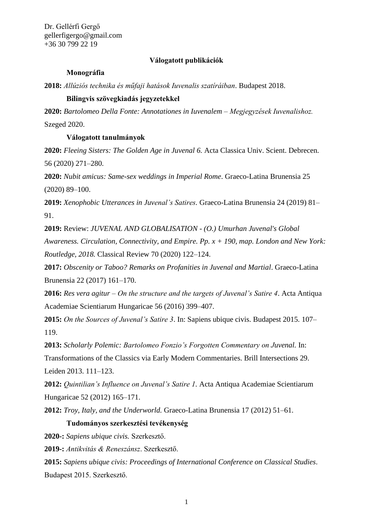Dr. Gellérfi Gergő gellerfigergo@gmail.com +36 30 799 22 19

## **Válogatott publikációk**

#### **Monográfia**

**2018:** *Allúziós technika és műfaji hatások Iuvenalis szatíráiban*. Budapest 2018.

## **Bilingvis szövegkiadás jegyzetekkel**

**2020:** *Bartolomeo Della Fonte: Annotationes in Iuvenalem – Megjegyzések Iuvenalishoz.*  Szeged 2020.

# **Válogatott tanulmányok**

**2020:** *Fleeing Sisters: The Golden Age in Juvenal 6.* Acta Classica Univ. Scient. Debrecen. 56 (2020) 271–280.

**2020:** *Nubit amicus: Same-sex weddings in Imperial Rome*. Graeco-Latina Brunensia 25 (2020) 89–100.

**2019:** *Xenophobic Utterances in Juvenal's Satires.* Graeco-Latina Brunensia 24 (2019) 81– 91.

**2019:** Review: *JUVENAL AND GLOBALISATION - (O.) Umurhan Juvenal's Global* 

*Awareness. Circulation, Connectivity, and Empire. Pp. x + 190, map. London and New York: Routledge, 2018.* Classical Review 70 (2020) 122–124.

**2017:** *Obscenity or Taboo? Remarks on Profanities in Juvenal and Martial*. Graeco-Latina Brunensia 22 (2017) 161–170.

**2016:** *Res vera agitur – On the structure and the targets of Juvenal's Satire 4*. Acta Antiqua Academiae Scientiarum Hungaricae 56 (2016) 399–407.

**2015:** *On the Sources of Juvenal's Satire 3*. In: Sapiens ubique civis. Budapest 2015. 107– 119.

**2013:** *Scholarly Polemic: Bartolomeo Fonzio's Forgotten Commentary on Juvenal.* In: Transformations of the Classics via Early Modern Commentaries. Brill Intersections 29. Leiden 2013. 111–123.

**2012:** *Quintilian's Influence on Juvenal's Satire 1.* Acta Antiqua Academiae Scientiarum Hungaricae 52 (2012) 165–171.

**2012:** *Troy, Italy, and the Underworld.* Graeco-Latina Brunensia 17 (2012) 51–61.

### **Tudományos szerkesztési tevékenység**

**2020-:** *Sapiens ubique civis.* Szerkesztő.

**2019-:** *Antikvitás & Reneszánsz*. Szerkesztő.

**2015:** *Sapiens ubique civis: Proceedings of International Conference on Classical Studies*. Budapest 2015. Szerkesztő.